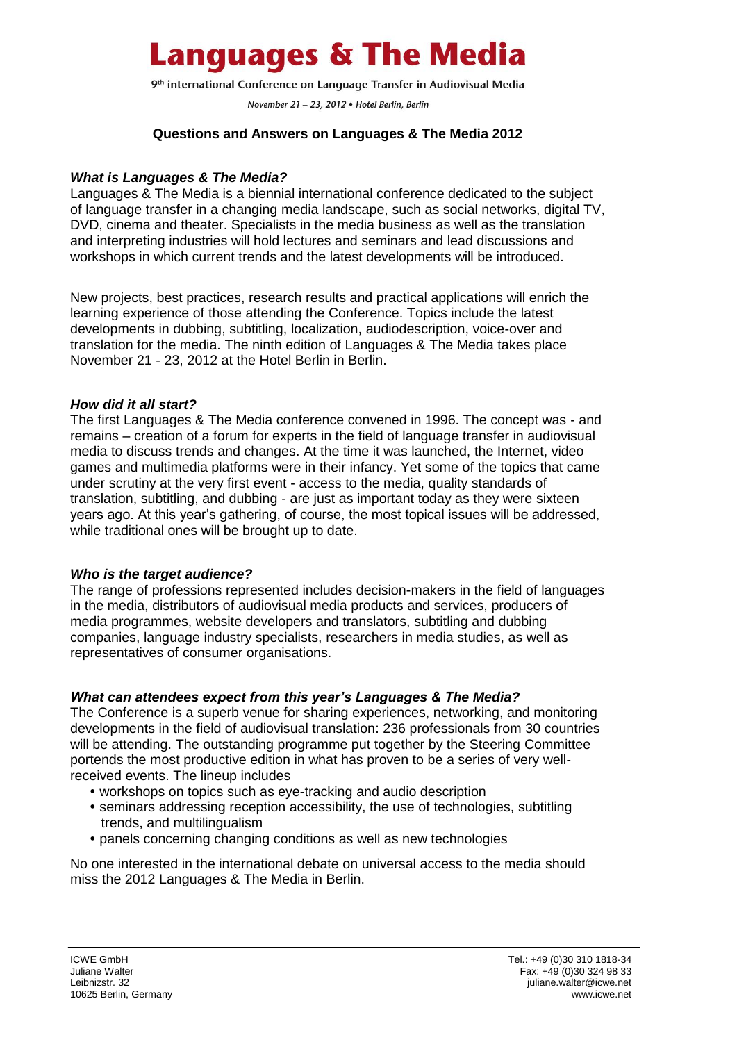## **Languages & The Media**

9<sup>th</sup> international Conference on Language Transfer in Audiovisual Media

November 21 - 23, 2012 · Hotel Berlin, Berlin

#### **Questions and Answers on Languages & The Media 2012**

#### *What is Languages & The Media?*

Languages & The Media is a biennial international conference dedicated to the subject of language transfer in a changing media landscape, such as social networks, digital TV, DVD, cinema and theater. Specialists in the media business as well as the translation and interpreting industries will hold lectures and seminars and lead discussions and workshops in which current trends and the latest developments will be introduced.

New projects, best practices, research results and practical applications will enrich the learning experience of those attending the Conference. Topics include the latest developments in dubbing, subtitling, localization, audiodescription, voice-over and translation for the media. The ninth edition of Languages & The Media takes place November 21 - 23, 2012 at the Hotel Berlin in Berlin.

#### *How did it all start?*

The first Languages & The Media conference convened in 1996. The concept was - and remains – creation of a forum for experts in the field of language transfer in audiovisual media to discuss trends and changes. At the time it was launched, the Internet, video games and multimedia platforms were in their infancy. Yet some of the topics that came under scrutiny at the very first event - access to the media, quality standards of translation, subtitling, and dubbing - are just as important today as they were sixteen years ago. At this year's gathering, of course, the most topical issues will be addressed, while traditional ones will be brought up to date.

#### *Who is the target audience?*

The range of professions represented includes decision-makers in the field of languages in the media, distributors of audiovisual media products and services, producers of media programmes, website developers and translators, subtitling and dubbing companies, language industry specialists, researchers in media studies, as well as representatives of consumer organisations.

#### *What can attendees expect from this year's Languages & The Media?*

The Conference is a superb venue for sharing experiences, networking, and monitoring developments in the field of audiovisual translation: 236 professionals from 30 countries will be attending. The outstanding programme put together by the Steering Committee portends the most productive edition in what has proven to be a series of very wellreceived events. The lineup includes

- workshops on topics such as eye-tracking and audio description
- seminars addressing reception accessibility, the use of technologies, subtitling trends, and multilingualism
- panels concerning changing conditions as well as new technologies

No one interested in the international debate on universal access to the media should miss the 2012 Languages & The Media in Berlin.